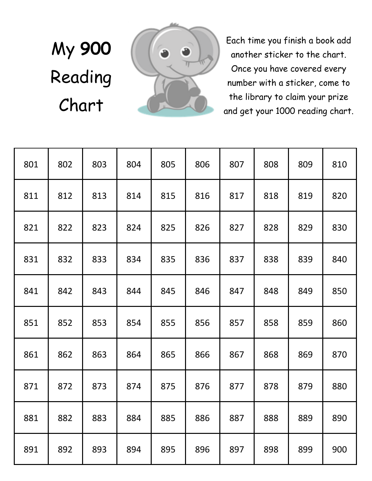## My **900**  Reading Chart



Each time you finish a book add another sticker to the chart. Once you have covered every number with a sticker, come to the library to claim your prize and get your 1000 reading chart.

| 801 | 802 | 803 | 804 | 805 | 806 | 807 | 808 | 809 | 810 |
|-----|-----|-----|-----|-----|-----|-----|-----|-----|-----|
| 811 | 812 | 813 | 814 | 815 | 816 | 817 | 818 | 819 | 820 |
| 821 | 822 | 823 | 824 | 825 | 826 | 827 | 828 | 829 | 830 |
| 831 | 832 | 833 | 834 | 835 | 836 | 837 | 838 | 839 | 840 |
| 841 | 842 | 843 | 844 | 845 | 846 | 847 | 848 | 849 | 850 |
| 851 | 852 | 853 | 854 | 855 | 856 | 857 | 858 | 859 | 860 |
| 861 | 862 | 863 | 864 | 865 | 866 | 867 | 868 | 869 | 870 |
| 871 | 872 | 873 | 874 | 875 | 876 | 877 | 878 | 879 | 880 |
| 881 | 882 | 883 | 884 | 885 | 886 | 887 | 888 | 889 | 890 |
| 891 | 892 | 893 | 894 | 895 | 896 | 897 | 898 | 899 | 900 |